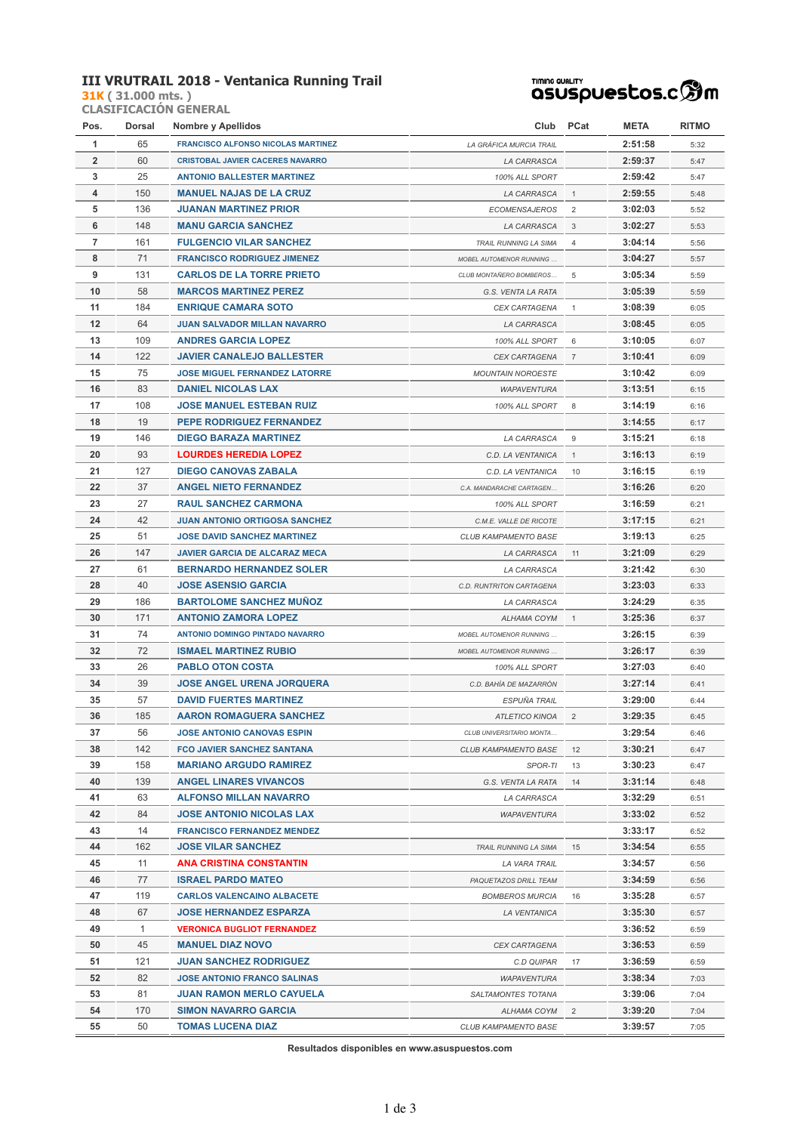#### **III VRUTRAIL 2018 - Ventanica Running Trail**

**31K ( 31.000 mts. ) CLASIFICACIÓN GENERAL**

### **TIMING QUALITY**<br>QSUSpUestos.c<sup>6</sup>m

| Pos.           | Dorsal | Nombre y Apellidos                        | Club                           | PCat           | META    | <b>RITMO</b> |
|----------------|--------|-------------------------------------------|--------------------------------|----------------|---------|--------------|
| 1              | 65     | <b>FRANCISCO ALFONSO NICOLAS MARTINEZ</b> | LA GRÁFICA MURCIA TRAIL        |                | 2:51:58 | 5:32         |
| $\overline{2}$ | 60     | <b>CRISTOBAL JAVIER CACERES NAVARRO</b>   | <b>LA CARRASCA</b>             |                | 2:59:37 | 5:47         |
| 3              | 25     | <b>ANTONIO BALLESTER MARTINEZ</b>         | 100% ALL SPORT                 |                | 2:59:42 | 5:47         |
| 4              | 150    | <b>MANUEL NAJAS DE LA CRUZ</b>            | LA CARRASCA                    | 1              | 2:59:55 | 5:48         |
| 5              | 136    | <b>JUANAN MARTINEZ PRIOR</b>              | <b>ECOMENSAJEROS</b>           | $\overline{2}$ | 3:02:03 | 5:52         |
| 6              | 148    | <b>MANU GARCIA SANCHEZ</b>                | LA CARRASCA                    | 3              | 3:02:27 | 5:53         |
| 7              | 161    | <b>FULGENCIO VILAR SANCHEZ</b>            | TRAIL RUNNING LA SIMA          | 4              | 3:04:14 | 5:56         |
| 8              | 71     | <b>FRANCISCO RODRIGUEZ JIMENEZ</b>        | <b>MOBEL AUTOMENOR RUNNING</b> |                | 3:04:27 | 5:57         |
| 9              | 131    | <b>CARLOS DE LA TORRE PRIETO</b>          | CLUB MONTAÑERO BOMBEROS        | 5              | 3:05:34 | 5:59         |
| 10             | 58     | <b>MARCOS MARTINEZ PEREZ</b>              | G.S. VENTA LA RATA             |                | 3:05:39 | 5:59         |
| 11             | 184    | <b>ENRIQUE CAMARA SOTO</b>                | <b>CEX CARTAGENA</b>           | 1              | 3:08:39 | 6:05         |
| 12             | 64     | <b>JUAN SALVADOR MILLAN NAVARRO</b>       | LA CARRASCA                    |                | 3:08:45 | 6:05         |
| 13             | 109    | <b>ANDRES GARCIA LOPEZ</b>                | 100% ALL SPORT                 | 6              | 3:10:05 | 6:07         |
| 14             | 122    | <b>JAVIER CANALEJO BALLESTER</b>          | <b>CEX CARTAGENA</b>           | $\overline{7}$ | 3:10:41 | 6:09         |
| 15             | 75     | <b>JOSE MIGUEL FERNANDEZ LATORRE</b>      | <b>MOUNTAIN NOROESTE</b>       |                | 3:10:42 | 6:09         |
| 16             | 83     | <b>DANIEL NICOLAS LAX</b>                 | <b>WAPAVENTURA</b>             |                | 3:13:51 | 6:15         |
| 17             | 108    | <b>JOSE MANUEL ESTEBAN RUIZ</b>           | 100% ALL SPORT                 | 8              | 3:14:19 | 6:16         |
| 18             | 19     | <b>PEPE RODRIGUEZ FERNANDEZ</b>           |                                |                | 3:14:55 | 6:17         |
| 19             | 146    | <b>DIEGO BARAZA MARTINEZ</b>              | LA CARRASCA                    | 9              | 3:15:21 | 6:18         |
| 20             | 93     | <b>LOURDES HEREDIA LOPEZ</b>              | C.D. LA VENTANICA              | $\mathbf{1}$   | 3:16:13 | 6:19         |
| 21             | 127    | <b>DIEGO CANOVAS ZABALA</b>               | C.D. LA VENTANICA              | 10             | 3:16:15 | 6:19         |
| 22             | 37     | <b>ANGEL NIETO FERNANDEZ</b>              | C.A. MANDARACHE CARTAGEN       |                | 3:16:26 | 6:20         |
| 23             | 27     | <b>RAUL SANCHEZ CARMONA</b>               | 100% ALL SPORT                 |                | 3:16:59 | 6:21         |
| 24             | 42     | <b>JUAN ANTONIO ORTIGOSA SANCHEZ</b>      | C.M.E. VALLE DE RICOTE         |                | 3:17:15 | 6:21         |
| 25             | 51     | <b>JOSE DAVID SANCHEZ MARTINEZ</b>        | CLUB KAMPAMENTO BASE           |                | 3:19:13 | 6:25         |
| 26             | 147    | <b>JAVIER GARCIA DE ALCARAZ MECA</b>      | LA CARRASCA                    | 11             | 3:21:09 | 6:29         |
| 27             | 61     | <b>BERNARDO HERNANDEZ SOLER</b>           | LA CARRASCA                    |                | 3:21:42 | 6:30         |
| 28             | 40     | <b>JOSE ASENSIO GARCIA</b>                | C.D. RUNTRITON CARTAGENA       |                | 3:23:03 | 6:33         |
| 29             | 186    | <b>BARTOLOME SANCHEZ MUÑOZ</b>            | LA CARRASCA                    |                | 3:24:29 | 6:35         |
| 30             | 171    | <b>ANTONIO ZAMORA LOPEZ</b>               | ALHAMA COYM                    | $\mathbf{1}$   | 3:25:36 | 6:37         |
| 31             | 74     | <b>ANTONIO DOMINGO PINTADO NAVARRO</b>    | <b>MOBEL AUTOMENOR RUNNING</b> |                | 3:26:15 | 6:39         |
| 32             | 72     | <b>ISMAEL MARTINEZ RUBIO</b>              | <b>MOBEL AUTOMENOR RUNNING</b> |                | 3:26:17 | 6:39         |
| 33             | 26     | <b>PABLO OTON COSTA</b>                   | 100% ALL SPORT                 |                | 3:27:03 | 6:40         |
| 34             | 39     | <b>JOSE ANGEL URENA JORQUERA</b>          | C.D. BAHÍA DE MAZARRÓN         |                | 3:27:14 | 6:41         |
| 35             | 57     | <b>DAVID FUERTES MARTINEZ</b>             | ESPUÑA TRAIL                   |                | 3:29:00 | 6:44         |
| 36             | 185    | <b>AARON ROMAGUERA SANCHEZ</b>            | <b>ATLETICO KINOA</b>          | $\overline{2}$ | 3:29:35 | 6:45         |
| 37             | 56     | <b>JOSE ANTONIO CANOVAS ESPIN</b>         | CLUB UNIVERSITARIO MONTA       |                | 3:29:54 | 6:46         |
| 38             | 142    | <b>FCO JAVIER SANCHEZ SANTANA</b>         | CLUB KAMPAMENTO BASE           | 12             | 3:30:21 | 6:47         |
| 39             | 158    | <b>MARIANO ARGUDO RAMIREZ</b>             | SPOR-TI                        | 13             | 3:30:23 | 6:47         |
| 40             | 139    | <b>ANGEL LINARES VIVANCOS</b>             | G.S. VENTA LA RATA             | 14             | 3:31:14 | 6:48         |
| 41             | 63     | <b>ALFONSO MILLAN NAVARRO</b>             | LA CARRASCA                    |                | 3:32:29 | 6:51         |
| 42             | 84     | <b>JOSE ANTONIO NICOLAS LAX</b>           | <b>WAPAVENTURA</b>             |                | 3:33:02 | 6:52         |
| 43             | 14     | <b>FRANCISCO FERNANDEZ MENDEZ</b>         |                                |                | 3:33:17 | 6:52         |
| 44             | 162    | <b>JOSE VILAR SANCHEZ</b>                 | TRAIL RUNNING LA SIMA          | 15             | 3:34:54 | 6:55         |
| 45             | 11     | <b>ANA CRISTINA CONSTANTIN</b>            | LA VARA TRAIL                  |                | 3:34:57 | 6:56         |
| 46             | 77     | <b>ISRAEL PARDO MATEO</b>                 | PAQUETAZOS DRILL TEAM          |                | 3:34:59 | 6:56         |
| 47             | 119    | <b>CARLOS VALENCAINO ALBACETE</b>         | <b>BOMBEROS MURCIA</b>         | 16             | 3:35:28 | 6:57         |
| 48             | 67     | <b>JOSE HERNANDEZ ESPARZA</b>             | LA VENTANICA                   |                | 3:35:30 | 6:57         |
| 49             | 1      | <b>VERONICA BUGLIOT FERNANDEZ</b>         |                                |                | 3:36:52 | 6:59         |
| 50             | 45     | <b>MANUEL DIAZ NOVO</b>                   | CEX CARTAGENA                  |                | 3:36:53 | 6:59         |
| 51             | 121    | <b>JUAN SANCHEZ RODRIGUEZ</b>             | C.D QUIPAR                     | 17             | 3:36:59 | 6:59         |
| 52             | 82     | <b>JOSE ANTONIO FRANCO SALINAS</b>        | <b>WAPAVENTURA</b>             |                | 3:38:34 | 7:03         |
| 53             | 81     | <b>JUAN RAMON MERLO CAYUELA</b>           | SALTAMONTES TOTANA             |                | 3:39:06 | 7:04         |
| 54             | 170    | <b>SIMON NAVARRO GARCIA</b>               | ALHAMA COYM                    | $\overline{2}$ | 3:39:20 | 7:04         |
| 55             | 50     | <b>TOMAS LUCENA DIAZ</b>                  | CLUB KAMPAMENTO BASE           |                | 3:39:57 | 7:05         |
|                |        |                                           |                                |                |         |              |

**Resultados disponibles en www.asuspuestos.com**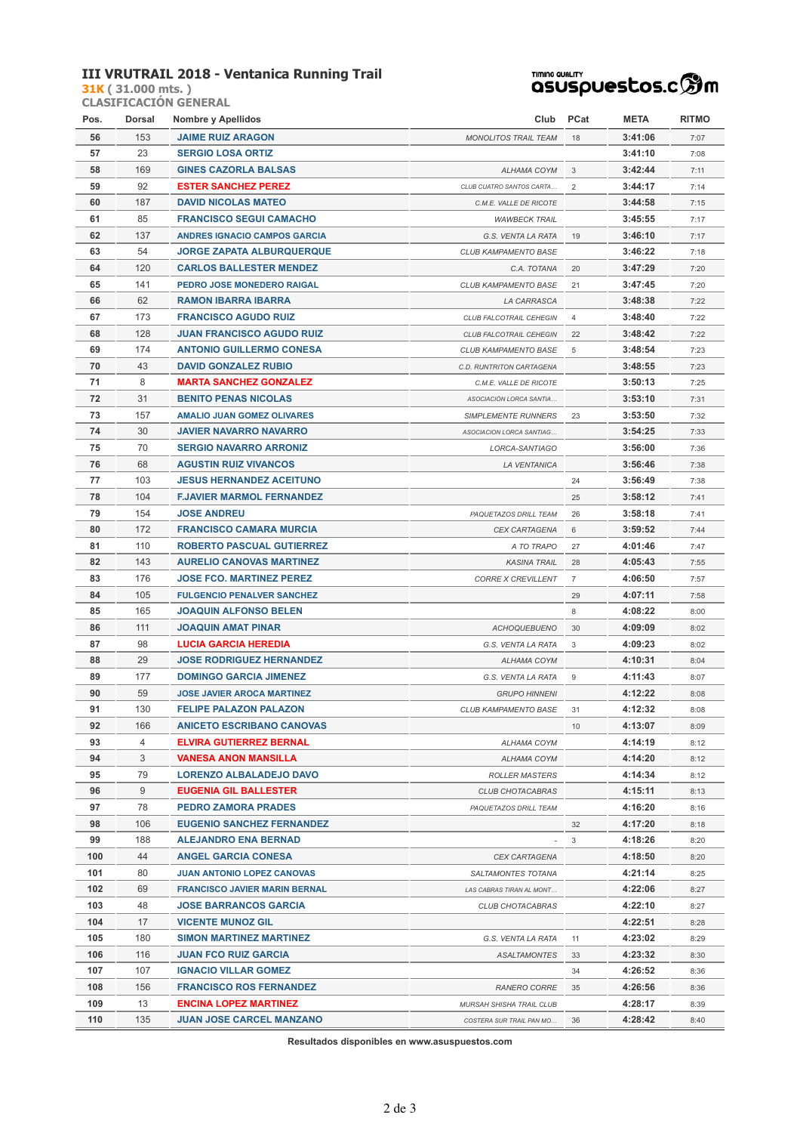#### **III VRUTRAIL 2018 - Ventanica Running Trail**

**31K ( 31.000 mts. ) CLASIFICACIÓN GENERAL**

# TIMING QUALITY<br>QSUSPUESCOS.C **SOM**

| Pos. | Dorsal | <b>Nombre y Apellidos</b>            | Club                        | <b>PCat</b>    | <b>META</b> | <b>RITMO</b> |
|------|--------|--------------------------------------|-----------------------------|----------------|-------------|--------------|
| 56   | 153    | <b>JAIME RUIZ ARAGON</b>             | <b>MONOLITOS TRAIL TEAM</b> | 18             | 3:41:06     | 7:07         |
| 57   | 23     | <b>SERGIO LOSA ORTIZ</b>             |                             |                | 3:41:10     | 7:08         |
| 58   | 169    | <b>GINES CAZORLA BALSAS</b>          | ALHAMA COYM                 | 3              | 3:42:44     | 7:11         |
| 59   | 92     | <b>ESTER SANCHEZ PEREZ</b>           | CLUB CUATRO SANTOS CARTA    | 2              | 3:44:17     | 7:14         |
| 60   | 187    | <b>DAVID NICOLAS MATEO</b>           | C.M.E. VALLE DE RICOTE      |                | 3:44:58     | 7:15         |
| 61   | 85     | <b>FRANCISCO SEGUI CAMACHO</b>       | <b>WAWBECK TRAIL</b>        |                | 3:45:55     | 7:17         |
| 62   | 137    | <b>ANDRES IGNACIO CAMPOS GARCIA</b>  | G.S. VENTA LA RATA          | 19             | 3:46:10     | 7:17         |
| 63   | 54     | <b>JORGE ZAPATA ALBURQUERQUE</b>     | <b>CLUB KAMPAMENTO BASE</b> |                | 3:46:22     | 7:18         |
| 64   | 120    | <b>CARLOS BALLESTER MENDEZ</b>       | C.A. TOTANA                 | 20             | 3:47:29     | 7:20         |
| 65   | 141    | PEDRO JOSE MONEDERO RAIGAL           | CLUB KAMPAMENTO BASE        | 21             | 3:47:45     | 7:20         |
| 66   | 62     | <b>RAMON IBARRA IBARRA</b>           | LA CARRASCA                 |                | 3:48:38     | 7:22         |
| 67   | 173    | <b>FRANCISCO AGUDO RUIZ</b>          | CLUB FALCOTRAIL CEHEGIN     | 4              | 3:48:40     | 7:22         |
| 68   | 128    | <b>JUAN FRANCISCO AGUDO RUIZ</b>     | CLUB FALCOTRAIL CEHEGIN     | 22             | 3:48:42     | 7:22         |
| 69   | 174    | <b>ANTONIO GUILLERMO CONESA</b>      | CLUB KAMPAMENTO BASE        | 5              | 3:48:54     | 7:23         |
| 70   | 43     | <b>DAVID GONZALEZ RUBIO</b>          | C.D. RUNTRITON CARTAGENA    |                | 3:48:55     | 7:23         |
| 71   | 8      | <b>MARTA SANCHEZ GONZALEZ</b>        | C.M.E. VALLE DE RICOTE      |                | 3:50:13     | 7:25         |
| 72   | 31     | <b>BENITO PENAS NICOLAS</b>          | ASOCIACIÓN LORCA SANTIA     |                | 3:53:10     | 7:31         |
| 73   | 157    | <b>AMALIO JUAN GOMEZ OLIVARES</b>    | <b>SIMPLEMENTE RUNNERS</b>  | 23             | 3:53:50     | 7:32         |
| 74   | 30     | <b>JAVIER NAVARRO NAVARRO</b>        | ASOCIACION LORCA SANTIAG    |                | 3:54:25     | 7:33         |
| 75   | 70     | <b>SERGIO NAVARRO ARRONIZ</b>        | LORCA-SANTIAGO              |                | 3:56:00     | 7:36         |
| 76   | 68     | <b>AGUSTIN RUIZ VIVANCOS</b>         | <b>LA VENTANICA</b>         |                | 3:56:46     | 7:38         |
| 77   | 103    | <b>JESUS HERNANDEZ ACEITUNO</b>      |                             | 24             | 3:56:49     | 7:38         |
| 78   | 104    | <b>F.JAVIER MARMOL FERNANDEZ</b>     |                             | 25             | 3:58:12     | 7:41         |
| 79   | 154    | <b>JOSE ANDREU</b>                   | PAQUETAZOS DRILL TEAM       | 26             | 3:58:18     | 7:41         |
| 80   | 172    | <b>FRANCISCO CAMARA MURCIA</b>       | CEX CARTAGENA               | 6              | 3:59:52     | 7:44         |
| 81   | 110    | <b>ROBERTO PASCUAL GUTIERREZ</b>     | A TO TRAPO                  | 27             | 4:01:46     | 7:47         |
| 82   | 143    | <b>AURELIO CANOVAS MARTINEZ</b>      | <b>KASINA TRAIL</b>         | 28             | 4:05:43     | 7:55         |
| 83   | 176    | <b>JOSE FCO. MARTINEZ PEREZ</b>      | <b>CORRE X CREVILLENT</b>   | $\overline{7}$ | 4:06:50     | 7:57         |
| 84   | 105    | <b>FULGENCIO PENALVER SANCHEZ</b>    |                             | 29             | 4:07:11     | 7:58         |
| 85   | 165    | <b>JOAQUIN ALFONSO BELEN</b>         |                             | 8              | 4:08:22     | 8:00         |
| 86   | 111    | <b>JOAQUIN AMAT PINAR</b>            | <b>ACHOQUEBUENO</b>         | 30             | 4:09:09     | 8:02         |
| 87   | 98     | <b>LUCIA GARCIA HEREDIA</b>          | G.S. VENTA LA RATA          | 3              | 4:09:23     | 8:02         |
| 88   | 29     | <b>JOSE RODRIGUEZ HERNANDEZ</b>      | ALHAMA COYM                 |                | 4:10:31     | 8:04         |
| 89   | 177    | <b>DOMINGO GARCIA JIMENEZ</b>        | G.S. VENTA LA RATA          | 9              | 4:11:43     | 8:07         |
| 90   | 59     | <b>JOSE JAVIER AROCA MARTINEZ</b>    | <b>GRUPO HINNENI</b>        |                | 4:12:22     | 8:08         |
| 91   | 130    | <b>FELIPE PALAZON PALAZON</b>        | CLUB KAMPAMENTO BASE        | 31             | 4:12:32     | 8:08         |
| 92   | 166    | <b>ANICETO ESCRIBANO CANOVAS</b>     |                             | 10             | 4:13:07     | 8:09         |
| 93   | 4      | <b>ELVIRA GUTIERREZ BERNAL</b>       | ALHAMA COYM                 |                | 4:14:19     | 8:12         |
| 94   | 3      | <b>VANESA ANON MANSILLA</b>          | ALHAMA COYM                 |                | 4:14:20     | 8:12         |
| 95   | 79     | LORENZO ALBALADEJO DAVO              | <b>ROLLER MASTERS</b>       |                | 4:14:34     | 8:12         |
| 96   | 9      | <b>EUGENIA GIL BALLESTER</b>         | CLUB CHOTACABRAS            |                | 4:15:11     | 8:13         |
| 97   | 78     | <b>PEDRO ZAMORA PRADES</b>           | PAQUETAZOS DRILL TEAM       |                | 4:16:20     | 8:16         |
| 98   | 106    | <b>EUGENIO SANCHEZ FERNANDEZ</b>     |                             | 32             | 4:17:20     | 8:18         |
| 99   | 188    | <b>ALEJANDRO ENA BERNAD</b>          |                             | 3              | 4:18:26     | 8:20         |
| 100  | 44     | <b>ANGEL GARCIA CONESA</b>           | <b>CEX CARTAGENA</b>        |                | 4:18:50     | 8:20         |
| 101  | 80     | <b>JUAN ANTONIO LOPEZ CANOVAS</b>    | <i>SALTAMONTES TOTANA</i>   |                | 4:21:14     | 8:25         |
| 102  | 69     | <b>FRANCISCO JAVIER MARIN BERNAL</b> | LAS CABRAS TIRAN AL MONT    |                | 4:22:06     | 8:27         |
| 103  | 48     | <b>JOSE BARRANCOS GARCIA</b>         | CLUB CHOTACABRAS            |                | 4:22:10     | 8:27         |
| 104  | 17     | <b>VICENTE MUNOZ GIL</b>             |                             |                | 4:22:51     | 8:28         |
| 105  | 180    | <b>SIMON MARTINEZ MARTINEZ</b>       | G.S. VENTA LA RATA          | 11             | 4:23:02     | 8:29         |
| 106  | 116    | <b>JUAN FCO RUIZ GARCIA</b>          | ASALTAMONTES                | 33             | 4:23:32     | 8:30         |
| 107  | 107    | <b>IGNACIO VILLAR GOMEZ</b>          |                             | 34             | 4:26:52     | 8:36         |
| 108  | 156    | <b>FRANCISCO ROS FERNANDEZ</b>       | <b>RANERO CORRE</b>         | 35             | 4:26:56     | 8:36         |
| 109  | 13     | <b>ENCINA LOPEZ MARTINEZ</b>         | MURSAH SHISHA TRAIL CLUB    |                | 4:28:17     | 8:39         |
| 110  | 135    | <b>JUAN JOSE CARCEL MANZANO</b>      | COSTERA SUR TRAIL PAN MO    | 36             | 4:28:42     | 8:40         |

**Resultados disponibles en www.asuspuestos.com**